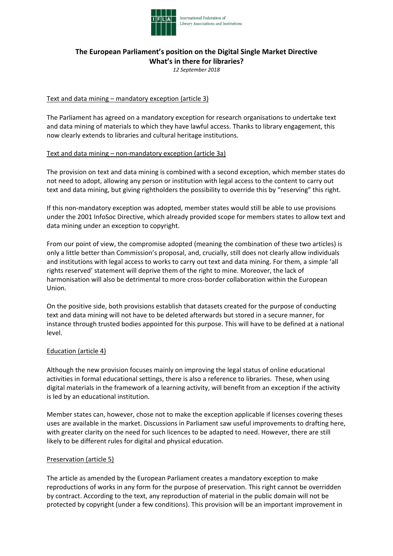

# **The European Parliament's position on the Digital Single Market Directive What's in there for libraries?**

*12 September 2018*

### Text and data mining – mandatory exception (article 3)

The Parliament has agreed on a mandatory exception for research organisations to undertake text and data mining of materials to which they have lawful access. Thanks to library engagement, this now clearly extends to libraries and cultural heritage institutions.

#### Text and data mining – non-mandatory exception (article 3a)

The provision on text and data mining is combined with a second exception, which member states do not need to adopt, allowing any person or institution with legal access to the content to carry out text and data mining, but giving rightholders the possibility to override this by "reserving" this right.

If this non-mandatory exception was adopted, member states would still be able to use provisions under the 2001 InfoSoc Directive, which already provided scope for members states to allow text and data mining under an exception to copyright.

From our point of view, the compromise adopted (meaning the combination of these two articles) is only a little better than Commission's proposal, and, crucially, still does not clearly allow individuals and institutions with legal access to works to carry out text and data mining. For them, a simple 'all rights reserved' statement will deprive them of the right to mine. Moreover, the lack of harmonisation will also be detrimental to more cross-border collaboration within the European Union.

On the positive side, both provisions establish that datasets created for the purpose of conducting text and data mining will not have to be deleted afterwards but stored in a secure manner, for instance through trusted bodies appointed for this purpose. This will have to be defined at a national level.

#### Education (article 4)

Although the new provision focuses mainly on improving the legal status of online educational activities in formal educational settings, there is also a reference to libraries. These, when using digital materials in the framework of a learning activity, will benefit from an exception if the activity is led by an educational institution.

Member states can, however, chose not to make the exception applicable if licenses covering theses uses are available in the market. Discussions in Parliament saw useful improvements to drafting here, with greater clarity on the need for such licences to be adapted to need. However, there are still likely to be different rules for digital and physical education.

#### Preservation (article 5)

The article as amended by the European Parliament creates a mandatory exception to make reproductions of works in any form for the purpose of preservation. This right cannot be overridden by contract. According to the text, any reproduction of material in the public domain will not be protected by copyright (under a few conditions). This provision will be an important improvement in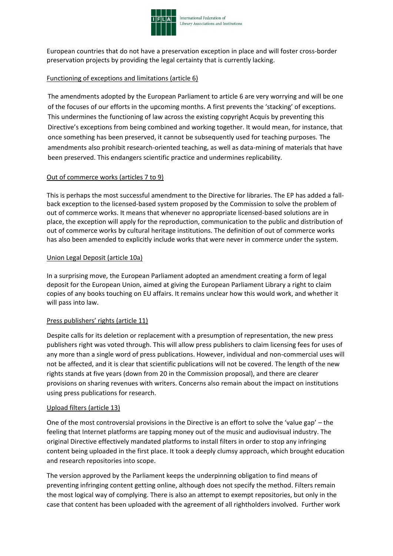

European countries that do not have a preservation exception in place and will foster cross-border preservation projects by providing the legal certainty that is currently lacking.

# Functioning of exceptions and limitations (article 6)

The amendments adopted by the European Parliament to article 6 are very worrying and will be one of the focuses of our efforts in the upcoming months. A first prevents the 'stacking' of exceptions. This undermines the functioning of law across the existing copyright Acquis by preventing this Directive's exceptions from being combined and working together. It would mean, for instance, that once something has been preserved, it cannot be subsequently used for teaching purposes. The amendments also prohibit research-oriented teaching, as well as data-mining of materials that have been preserved. This endangers scientific practice and undermines replicability.

## Out of commerce works (articles 7 to 9)

This is perhaps the most successful amendment to the Directive for libraries. The EP has added a fallback exception to the licensed-based system proposed by the Commission to solve the problem of out of commerce works. It means that whenever no appropriate licensed-based solutions are in place, the exception will apply for the reproduction, communication to the public and distribution of out of commerce works by cultural heritage institutions. The definition of out of commerce works has also been amended to explicitly include works that were never in commerce under the system.

#### Union Legal Deposit (article 10a)

In a surprising move, the European Parliament adopted an amendment creating a form of legal deposit for the European Union, aimed at giving the European Parliament Library a right to claim copies of any books touching on EU affairs. It remains unclear how this would work, and whether it will pass into law.

## Press publishers' rights (article 11)

Despite calls for its deletion or replacement with a presumption of representation, the new press publishers right was voted through. This will allow press publishers to claim licensing fees for uses of any more than a single word of press publications. However, individual and non-commercial uses will not be affected, and it is clear that scientific publications will not be covered. The length of the new rights stands at five years (down from 20 in the Commission proposal), and there are clearer provisions on sharing revenues with writers. Concerns also remain about the impact on institutions using press publications for research.

## Upload filters (article 13)

One of the most controversial provisions in the Directive is an effort to solve the 'value gap' – the feeling that Internet platforms are tapping money out of the music and audiovisual industry. The original Directive effectively mandated platforms to install filters in order to stop any infringing content being uploaded in the first place. It took a deeply clumsy approach, which brought education and research repositories into scope.

The version approved by the Parliament keeps the underpinning obligation to find means of preventing infringing content getting online, although does not specify the method. Filters remain the most logical way of complying. There is also an attempt to exempt repositories, but only in the case that content has been uploaded with the agreement of all rightholders involved. Further work